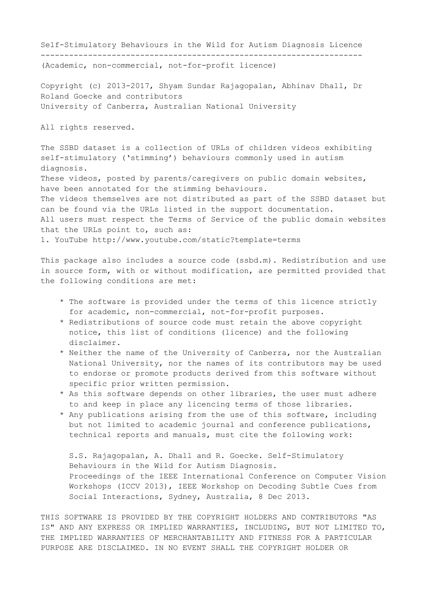Self-Stimulatory Behaviours in the Wild for Autism Diagnosis Licence

--------------------------------------------------------------------

(Academic, non-commercial, not-for-profit licence)

Copyright (c) 2013-2017, Shyam Sundar Rajagopalan, Abhinav Dhall, Dr Roland Goecke and contributors University of Canberra, Australian National University

All rights reserved.

The SSBD dataset is a collection of URLs of children videos exhibiting self-stimulatory ('stimming') behaviours commonly used in autism diagnosis. These videos, posted by parents/caregivers on public domain websites, have been annotated for the stimming behaviours. The videos themselves are not distributed as part of the SSBD dataset but can be found via the URLs listed in the support documentation. All users must respect the Terms of Service of the public domain websites that the URLs point to, such as: 1. YouTube http://www.youtube.com/static?template=terms

This package also includes a source code (ssbd.m). Redistribution and use in source form, with or without modification, are permitted provided that the following conditions are met:

- \* The software is provided under the terms of this licence strictly for academic, non-commercial, not-for-profit purposes.
- \* Redistributions of source code must retain the above copyright notice, this list of conditions (licence) and the following disclaimer.
- \* Neither the name of the University of Canberra, nor the Australian National University, nor the names of its contributors may be used to endorse or promote products derived from this software without specific prior written permission.
- \* As this software depends on other libraries, the user must adhere to and keep in place any licencing terms of those libraries.
- \* Any publications arising from the use of this software, including but not limited to academic journal and conference publications, technical reports and manuals, must cite the following work:

 S.S. Rajagopalan, A. Dhall and R. Goecke. Self-Stimulatory Behaviours in the Wild for Autism Diagnosis. Proceedings of the IEEE International Conference on Computer Vision Workshops (ICCV 2013), IEEE Workshop on Decoding Subtle Cues from Social Interactions, Sydney, Australia, 8 Dec 2013.

THIS SOFTWARE IS PROVIDED BY THE COPYRIGHT HOLDERS AND CONTRIBUTORS "AS IS" AND ANY EXPRESS OR IMPLIED WARRANTIES, INCLUDING, BUT NOT LIMITED TO, THE IMPLIED WARRANTIES OF MERCHANTABILITY AND FITNESS FOR A PARTICULAR PURPOSE ARE DISCLAIMED. IN NO EVENT SHALL THE COPYRIGHT HOLDER OR